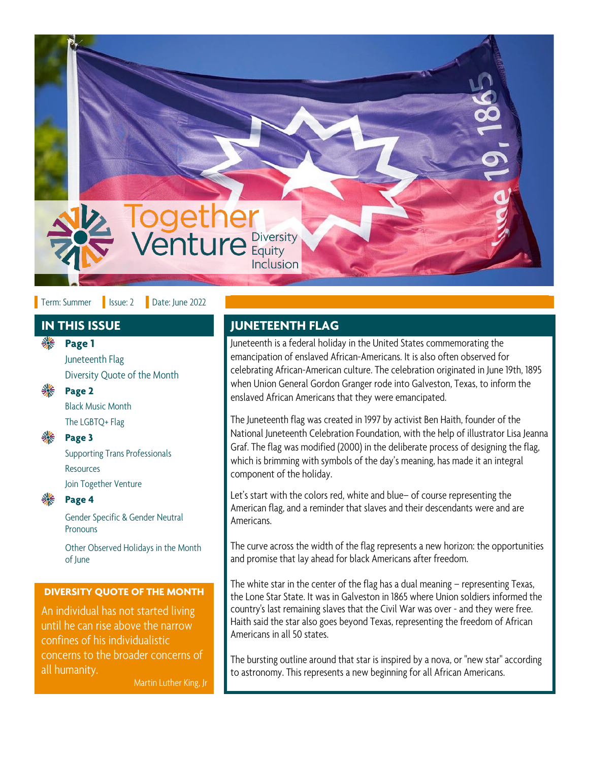

### Term: Summer | Issue: 2 | Date: June 2022

Juneteenth Flag Diversity Quote of the Month



**Page 2**

Black Music Month The LGBTQ+ Flag

#### **Page 3**

Supporting Trans Professionals **Resources** Join Together Venture



# **Page 4**

Gender Specific & Gender Neutral **Pronouns** 

Other Observed Holidays in the Month of June

#### **DIVERSITY QUOTE OF THE MONTH**

An individual has not started living until he can rise above the narrow confines of his individualistic concerns to the broader concerns of all humanity.

Martin Luther King, Jr

# **IN THIS ISSUE JUNETEENTH FLAG**

**Page 1 Page 1** Juneteenth is a federal holiday in the United States commemorating the emancipation of enslaved African-Americans. It is also often observed for celebrating African-American culture. The celebration originated in June 19th, 1895 when Union General Gordon Granger rode into Galveston, Texas, to inform the enslaved African Americans that they were emancipated.

> The Juneteenth flag was created in 1997 by activist Ben Haith, founder of the National Juneteenth Celebration Foundation, with the help of illustrator Lisa Jeanna Graf. The flag was modified (2000) in the deliberate process of designing the flag, which is brimming with symbols of the day's meaning, has made it an integral component of the holiday.

Let's start with the colors red, white and blue– of course representing the American flag, and a reminder that slaves and their descendants were and are Americans.

The curve across the width of the flag represents a new horizon: the opportunities and promise that lay ahead for black Americans after freedom.

The white star in the center of the flag has a dual meaning – representing Texas, the Lone Star State. It was in Galveston in 1865 where Union soldiers informed the country's last remaining slaves that the Civil War was over - and they were free. Haith said the star also goes beyond Texas, representing the freedom of African Americans in all 50 states.

The bursting outline around that star is inspired by a nova, or "new star" according to astronomy. This represents a new beginning for all African Americans.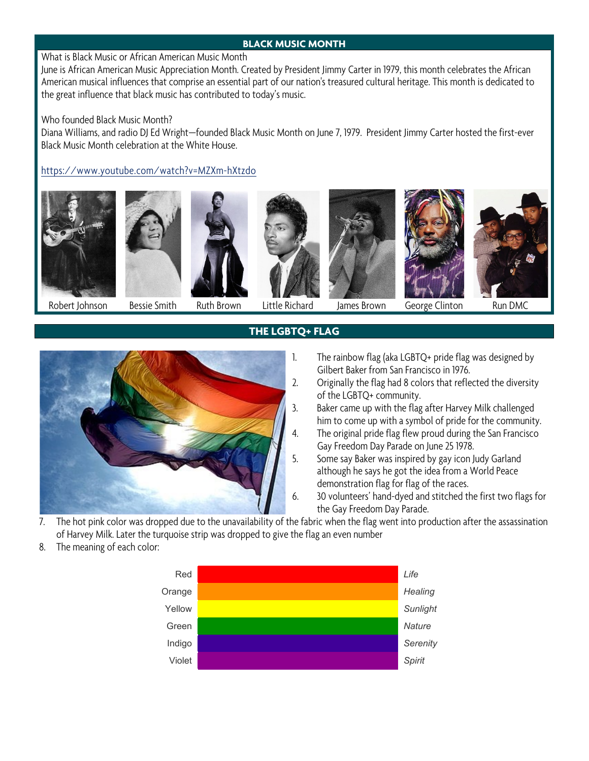## **BLACK MUSIC MONTH**

What is Black Music or African American Music Month

June is African American Music Appreciation Month. Created by President Jimmy Carter in 1979, this month celebrates the African American musical influences that comprise an essential part of our nation's treasured cultural heritage. This month is dedicated to the great influence that black music has contributed to today's music.

Who founded Black Music Month?

Diana Williams, and radio DJ Ed Wright—founded Black Music Month on June 7, 1979. President Jimmy Carter hosted the first-ever Black Music Month celebration at the White House.

<https://www.youtube.com/watch?v=MZXm-hXtzdo>













Robert Johnson Bessie Smith Ruth Brown Little Richard James Brown George Clinton Run DMC

## **THE LGBTQ+ FLAG**



- 1. The rainbow flag (aka LGBTQ+ pride flag was designed by Gilbert Baker from San Francisco in 1976.
- 2. Originally the flag had 8 colors that reflected the diversity of the LGBTQ+ community.
- 3. Baker came up with the flag after Harvey Milk challenged him to come up with a symbol of pride for the community. 4. The original pride flag flew proud during the San Francisco
	- Gay Freedom Day Parade on June 25 1978.
- 5. Some say Baker was inspired by gay icon Judy Garland although he says he got the idea from a World Peace demonstration flag for flag of the races.
- 6. 30 volunteers' hand-dyed and stitched the first two flags for the Gay Freedom Day Parade.
- 7. The hot pink color was dropped due to the unavailability of the fabric when the flag went into production after the assassination of Harvey Milk. Later the turquoise strip was dropped to give the flag an even number
- 8. The meaning of each color:

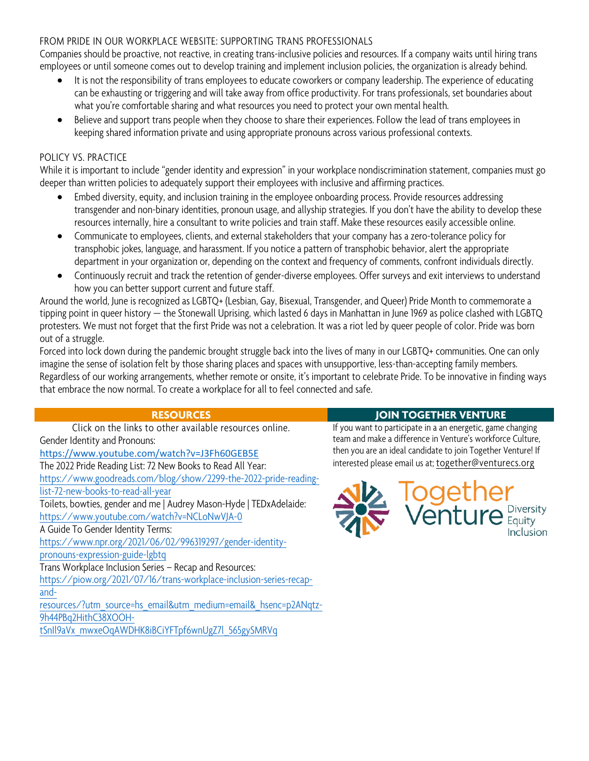### FROM PRIDE IN OUR WORKPLACE WEBSITE: SUPPORTING TRANS PROFESSIONALS

Companies should be proactive, not reactive, in creating trans-inclusive policies and resources. If a company waits until hiring trans employees or until someone comes out to develop training and implement inclusion policies, the organization is already behind.

- It is not the responsibility of trans employees to educate coworkers or company leadership. The experience of educating can be exhausting or triggering and will take away from office productivity. For trans professionals, set boundaries about what you're comfortable sharing and what resources you need to protect your own mental health.
- Believe and support trans people when they choose to share their experiences. Follow the lead of trans employees in keeping shared information private and using appropriate pronouns across various professional contexts.

## POLICY VS. PRACTICE

While it is important to include "gender identity and expression" in your workplace nondiscrimination statement, companies must go deeper than written policies to adequately support their employees with inclusive and affirming practices.

- Embed diversity, equity, and inclusion training in the employee onboarding process. Provide resources addressing transgender and non-binary identities, pronoun usage, and allyship strategies. If you don't have the ability to develop these resources internally, hire a consultant to write policies and train staff. Make these resources easily accessible online.
- Communicate to employees, clients, and external stakeholders that your company has a zero-tolerance policy for transphobic jokes, language, and harassment. If you notice a pattern of transphobic behavior, alert the appropriate department in your organization or, depending on the context and frequency of comments, confront individuals directly.
- Continuously recruit and track the retention of gender-diverse employees. Offer surveys and exit interviews to understand how you can better support current and future staff.

Around the world, June is recognized as LGBTQ+ (Lesbian, Gay, Bisexual, Transgender, and Queer) Pride Month to commemorate a tipping point in queer history — the Stonewall Uprising, which lasted 6 days in Manhattan in June 1969 as police clashed with LGBTQ protesters. We must not forget that the first Pride was not a celebration. It was a riot led by queer people of color. Pride was born out of a struggle.

Forced into lock down during the pandemic brought struggle back into the lives of many in our LGBTQ+ communities. One can only imagine the sense of isolation felt by those sharing places and spaces with unsupportive, less-than-accepting family members. Regardless of our working arrangements, whether remote or onsite, it's important to celebrate Pride. To be innovative in finding ways that embrace the now normal. To create a workplace for all to feel connected and safe.

Click on the links to other available resources online. Gender Identity and Pronouns: <https://www.youtube.com/watch?v=J3Fh60GEB5E> The 2022 Pride Reading List: 72 New Books to Read All Year: [https://www.goodreads.com/blog/show/2299-the-2022-pride-reading](https://www.goodreads.com/blog/show/2299-the-2022-pride-reading-list-72-new-books-to-read-all-year)[list-72-new-books-to-read-all-year](https://www.goodreads.com/blog/show/2299-the-2022-pride-reading-list-72-new-books-to-read-all-year) Toilets, bowties, gender and me | Audrey Mason-Hyde | TEDxAdelaide: <https://www.youtube.com/watch?v=NCLoNwVJA-0> A Guide To Gender Identity Terms: [https://www.npr.org/2021/06/02/996319297/gender-identity](https://www.npr.org/2021/06/02/996319297/gender-identity-pronouns-expression-guide-lgbtq)[pronouns-expression-guide-lgbtq](https://www.npr.org/2021/06/02/996319297/gender-identity-pronouns-expression-guide-lgbtq) Trans Workplace Inclusion Series – Recap and Resources: [https://piow.org/2021/07/16/trans-workplace-inclusion-series-recap](https://piow.org/2021/07/16/trans-workplace-inclusion-series-recap-and-resources/?utm_source=hs_email&utm_medium=email&_hsenc=p2ANqtz-9h44PBq2HithC38XOOH-tSnIl9aVx_mwxeOqAWDHK8iBCiYFTpf6wnUgZ7l_565gySMRVq)[and](https://piow.org/2021/07/16/trans-workplace-inclusion-series-recap-and-resources/?utm_source=hs_email&utm_medium=email&_hsenc=p2ANqtz-9h44PBq2HithC38XOOH-tSnIl9aVx_mwxeOqAWDHK8iBCiYFTpf6wnUgZ7l_565gySMRVq)[resources/?utm\\_source=hs\\_email&utm\\_medium=email&\\_hsenc=p2ANqtz-](https://piow.org/2021/07/16/trans-workplace-inclusion-series-recap-and-resources/?utm_source=hs_email&utm_medium=email&_hsenc=p2ANqtz-9h44PBq2HithC38XOOH-tSnIl9aVx_mwxeOqAWDHK8iBCiYFTpf6wnUgZ7l_565gySMRVq)[9h44PBq2HithC38XOOH](https://piow.org/2021/07/16/trans-workplace-inclusion-series-recap-and-resources/?utm_source=hs_email&utm_medium=email&_hsenc=p2ANqtz-9h44PBq2HithC38XOOH-tSnIl9aVx_mwxeOqAWDHK8iBCiYFTpf6wnUgZ7l_565gySMRVq)[tSnIl9aVx\\_mwxeOqAWDHK8iBCiYFTpf6wnUgZ7l\\_565gySMRVq](https://piow.org/2021/07/16/trans-workplace-inclusion-series-recap-and-resources/?utm_source=hs_email&utm_medium=email&_hsenc=p2ANqtz-9h44PBq2HithC38XOOH-tSnIl9aVx_mwxeOqAWDHK8iBCiYFTpf6wnUgZ7l_565gySMRVq)

## **RESOURCES JOIN TOGETHER VENTURE**

If you want to participate in a an energetic, game changing team and make a difference in Venture's workforce Culture, then you are an ideal candidate to join Together Venture! If interested please email us at[; together@venturecs.org](mailto:together@venturecs.org)